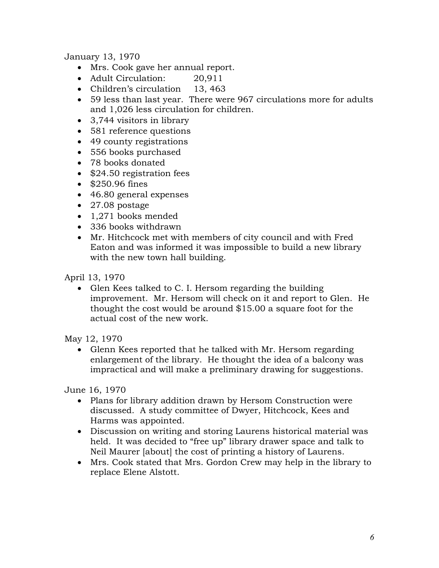January 13, 1970

- Mrs. Cook gave her annual report.
- Adult Circulation: 20,911
- Children's circulation 13, 463
- 59 less than last year. There were 967 circulations more for adults and 1,026 less circulation for children.
- 3,744 visitors in library
- 581 reference questions
- 49 county registrations
- 556 books purchased
- 78 books donated
- \$24.50 registration fees
- \$250.96 fines
- 46.80 general expenses
- 27.08 postage
- 1,271 books mended
- 336 books withdrawn
- Mr. Hitchcock met with members of city council and with Fred Eaton and was informed it was impossible to build a new library with the new town hall building.

April 13, 1970

• Glen Kees talked to C. I. Hersom regarding the building improvement. Mr. Hersom will check on it and report to Glen. He thought the cost would be around \$15.00 a square foot for the actual cost of the new work.

May 12, 1970

 Glenn Kees reported that he talked with Mr. Hersom regarding enlargement of the library. He thought the idea of a balcony was impractical and will make a preliminary drawing for suggestions.

June 16, 1970

- Plans for library addition drawn by Hersom Construction were discussed. A study committee of Dwyer, Hitchcock, Kees and Harms was appointed.
- Discussion on writing and storing Laurens historical material was held. It was decided to "free up" library drawer space and talk to Neil Maurer [about] the cost of printing a history of Laurens.
- Mrs. Cook stated that Mrs. Gordon Crew may help in the library to replace Elene Alstott.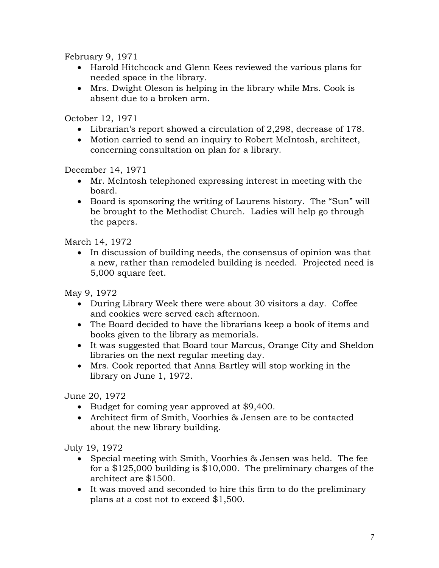February 9, 1971

- Harold Hitchcock and Glenn Kees reviewed the various plans for needed space in the library.
- Mrs. Dwight Oleson is helping in the library while Mrs. Cook is absent due to a broken arm.

October 12, 1971

- Librarian's report showed a circulation of 2,298, decrease of 178.
- Motion carried to send an inquiry to Robert McIntosh, architect, concerning consultation on plan for a library.

December 14, 1971

- Mr. McIntosh telephoned expressing interest in meeting with the board.
- Board is sponsoring the writing of Laurens history. The "Sun" will be brought to the Methodist Church. Ladies will help go through the papers.

March 14, 1972

• In discussion of building needs, the consensus of opinion was that a new, rather than remodeled building is needed. Projected need is 5,000 square feet.

May 9, 1972

- During Library Week there were about 30 visitors a day. Coffee and cookies were served each afternoon.
- The Board decided to have the librarians keep a book of items and books given to the library as memorials.
- It was suggested that Board tour Marcus, Orange City and Sheldon libraries on the next regular meeting day.
- Mrs. Cook reported that Anna Bartley will stop working in the library on June 1, 1972.

June 20, 1972

- Budget for coming year approved at \$9,400.
- Architect firm of Smith, Voorhies & Jensen are to be contacted about the new library building.

July 19, 1972

- Special meeting with Smith, Voorhies & Jensen was held. The fee for a \$125,000 building is \$10,000. The preliminary charges of the architect are \$1500.
- It was moved and seconded to hire this firm to do the preliminary plans at a cost not to exceed \$1,500.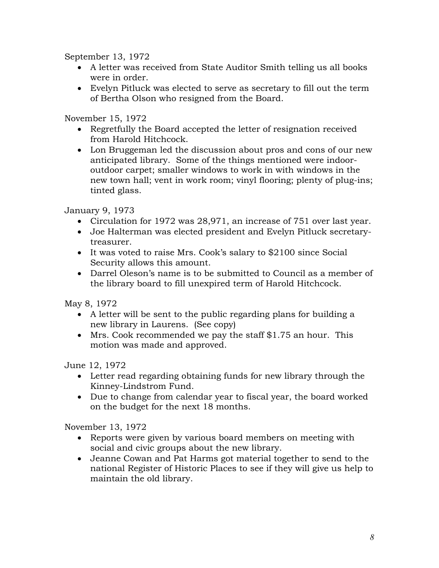September 13, 1972

- A letter was received from State Auditor Smith telling us all books were in order.
- Evelyn Pitluck was elected to serve as secretary to fill out the term of Bertha Olson who resigned from the Board.

November 15, 1972

- Regretfully the Board accepted the letter of resignation received from Harold Hitchcock.
- Lon Bruggeman led the discussion about pros and cons of our new anticipated library. Some of the things mentioned were indooroutdoor carpet; smaller windows to work in with windows in the new town hall; vent in work room; vinyl flooring; plenty of plug-ins; tinted glass.

January 9, 1973

- Circulation for 1972 was 28,971, an increase of 751 over last year.
- Joe Halterman was elected president and Evelyn Pitluck secretarytreasurer.
- It was voted to raise Mrs. Cook's salary to \$2100 since Social Security allows this amount.
- Darrel Oleson's name is to be submitted to Council as a member of the library board to fill unexpired term of Harold Hitchcock.

May 8, 1972

- A letter will be sent to the public regarding plans for building a new library in Laurens. (See copy)
- Mrs. Cook recommended we pay the staff \$1.75 an hour. This motion was made and approved.

June 12, 1972

- Letter read regarding obtaining funds for new library through the Kinney-Lindstrom Fund.
- Due to change from calendar year to fiscal year, the board worked on the budget for the next 18 months.

November 13, 1972

- Reports were given by various board members on meeting with social and civic groups about the new library.
- Jeanne Cowan and Pat Harms got material together to send to the national Register of Historic Places to see if they will give us help to maintain the old library.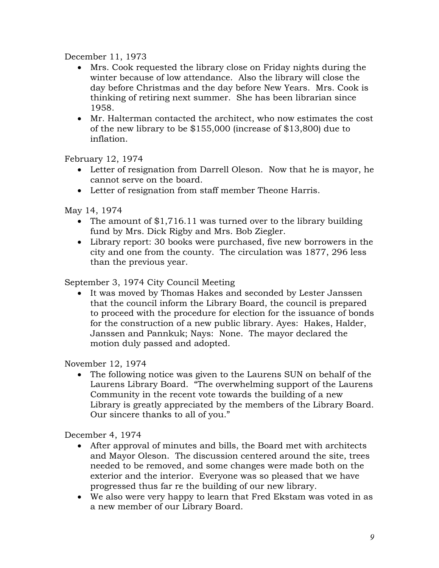December 11, 1973

- Mrs. Cook requested the library close on Friday nights during the winter because of low attendance. Also the library will close the day before Christmas and the day before New Years. Mrs. Cook is thinking of retiring next summer. She has been librarian since 1958.
- Mr. Halterman contacted the architect, who now estimates the cost of the new library to be \$155,000 (increase of \$13,800) due to inflation.

February 12, 1974

- Letter of resignation from Darrell Oleson. Now that he is mayor, he cannot serve on the board.
- Letter of resignation from staff member Theone Harris.

May 14, 1974

- The amount of \$1,716.11 was turned over to the library building fund by Mrs. Dick Rigby and Mrs. Bob Ziegler.
- Library report: 30 books were purchased, five new borrowers in the city and one from the county. The circulation was 1877, 296 less than the previous year.

September 3, 1974 City Council Meeting

 It was moved by Thomas Hakes and seconded by Lester Janssen that the council inform the Library Board, the council is prepared to proceed with the procedure for election for the issuance of bonds for the construction of a new public library. Ayes: Hakes, Halder, Janssen and Pannkuk; Nays: None. The mayor declared the motion duly passed and adopted.

November 12, 1974

 The following notice was given to the Laurens SUN on behalf of the Laurens Library Board. "The overwhelming support of the Laurens Community in the recent vote towards the building of a new Library is greatly appreciated by the members of the Library Board. Our sincere thanks to all of you."

December 4, 1974

- After approval of minutes and bills, the Board met with architects and Mayor Oleson. The discussion centered around the site, trees needed to be removed, and some changes were made both on the exterior and the interior. Everyone was so pleased that we have progressed thus far re the building of our new library.
- We also were very happy to learn that Fred Ekstam was voted in as a new member of our Library Board.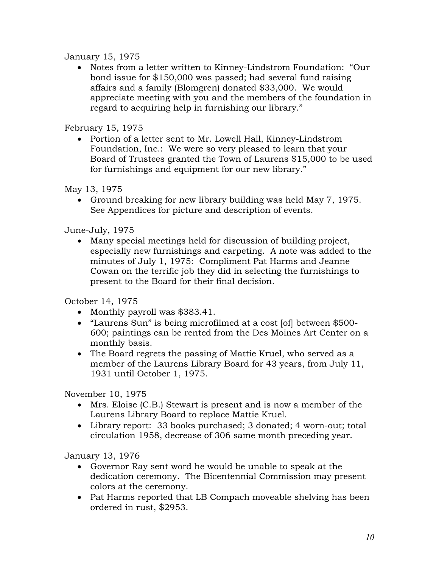### January 15, 1975

 Notes from a letter written to Kinney-Lindstrom Foundation: "Our bond issue for \$150,000 was passed; had several fund raising affairs and a family (Blomgren) donated \$33,000. We would appreciate meeting with you and the members of the foundation in regard to acquiring help in furnishing our library."

# February 15, 1975

 Portion of a letter sent to Mr. Lowell Hall, Kinney-Lindstrom Foundation, Inc.: We were so very pleased to learn that your Board of Trustees granted the Town of Laurens \$15,000 to be used for furnishings and equipment for our new library."

May 13, 1975

 Ground breaking for new library building was held May 7, 1975. See Appendices for picture and description of events.

June-July, 1975

 Many special meetings held for discussion of building project, especially new furnishings and carpeting. A note was added to the minutes of July 1, 1975: Compliment Pat Harms and Jeanne Cowan on the terrific job they did in selecting the furnishings to present to the Board for their final decision.

October 14, 1975

- Monthly payroll was \$383.41.
- "Laurens Sun" is being microfilmed at a cost [of] between \$500- 600; paintings can be rented from the Des Moines Art Center on a monthly basis.
- The Board regrets the passing of Mattie Kruel, who served as a member of the Laurens Library Board for 43 years, from July 11, 1931 until October 1, 1975.

November 10, 1975

- Mrs. Eloise (C.B.) Stewart is present and is now a member of the Laurens Library Board to replace Mattie Kruel.
- Library report: 33 books purchased; 3 donated; 4 worn-out; total circulation 1958, decrease of 306 same month preceding year.

January 13, 1976

- Governor Ray sent word he would be unable to speak at the dedication ceremony. The Bicentennial Commission may present colors at the ceremony.
- Pat Harms reported that LB Compach moveable shelving has been ordered in rust, \$2953.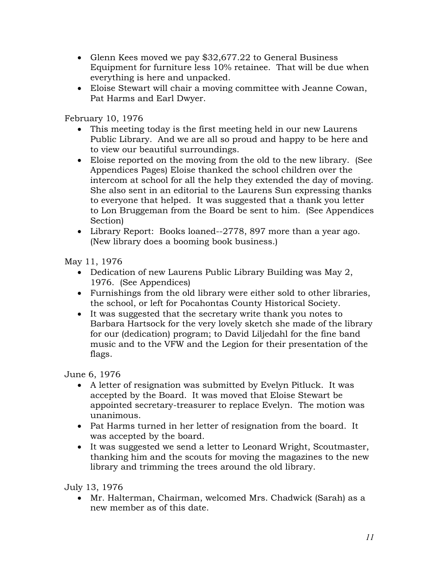- Glenn Kees moved we pay \$32,677.22 to General Business Equipment for furniture less 10% retainee. That will be due when everything is here and unpacked.
- Eloise Stewart will chair a moving committee with Jeanne Cowan, Pat Harms and Earl Dwyer.

February 10, 1976

- This meeting today is the first meeting held in our new Laurens Public Library. And we are all so proud and happy to be here and to view our beautiful surroundings.
- Eloise reported on the moving from the old to the new library. (See Appendices Pages) Eloise thanked the school children over the intercom at school for all the help they extended the day of moving. She also sent in an editorial to the Laurens Sun expressing thanks to everyone that helped. It was suggested that a thank you letter to Lon Bruggeman from the Board be sent to him. (See Appendices Section)
- Library Report: Books loaned--2778, 897 more than a year ago. (New library does a booming book business.)

May 11, 1976

- Dedication of new Laurens Public Library Building was May 2, 1976. (See Appendices)
- Furnishings from the old library were either sold to other libraries, the school, or left for Pocahontas County Historical Society.
- It was suggested that the secretary write thank you notes to Barbara Hartsock for the very lovely sketch she made of the library for our (dedication) program; to David Liljedahl for the fine band music and to the VFW and the Legion for their presentation of the flags.

June 6, 1976

- A letter of resignation was submitted by Evelyn Pitluck. It was accepted by the Board. It was moved that Eloise Stewart be appointed secretary-treasurer to replace Evelyn. The motion was unanimous.
- Pat Harms turned in her letter of resignation from the board. It was accepted by the board.
- It was suggested we send a letter to Leonard Wright, Scoutmaster, thanking him and the scouts for moving the magazines to the new library and trimming the trees around the old library.

July 13, 1976

 Mr. Halterman, Chairman, welcomed Mrs. Chadwick (Sarah) as a new member as of this date.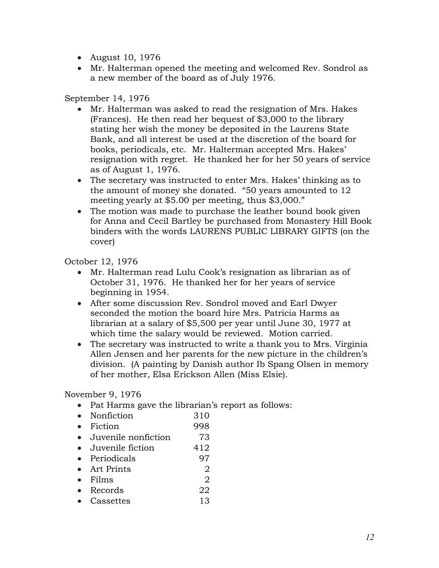- August 10, 1976
- Mr. Halterman opened the meeting and welcomed Rev. Sondrol as a new member of the board as of July 1976.

### September 14, 1976

- Mr. Halterman was asked to read the resignation of Mrs. Hakes (Frances). He then read her bequest of \$3,000 to the library stating her wish the money be deposited in the Laurens State Bank, and all interest be used at the discretion of the board for books, periodicals, etc. Mr. Halterman accepted Mrs. Hakes' resignation with regret. He thanked her for her 50 years of service as of August 1, 1976.
- The secretary was instructed to enter Mrs. Hakes' thinking as to the amount of money she donated. "50 years amounted to 12 meeting yearly at \$5.00 per meeting, thus \$3,000."
- The motion was made to purchase the leather bound book given for Anna and Cecil Bartley be purchased from Monastery Hill Book binders with the words LAURENS PUBLIC LIBRARY GIFTS (on the cover)

October 12, 1976

- Mr. Halterman read Lulu Cook's resignation as librarian as of October 31, 1976. He thanked her for her years of service beginning in 1954.
- After some discussion Rev. Sondrol moved and Earl Dwyer seconded the motion the board hire Mrs. Patricia Harms as librarian at a salary of \$5,500 per year until June 30, 1977 at which time the salary would be reviewed. Motion carried.
- The secretary was instructed to write a thank you to Mrs. Virginia Allen Jensen and her parents for the new picture in the children's division. (A painting by Danish author Ib Spang Olsen in memory of her mother*,* Elsa Erickson Allen (Miss Elsie).

#### November 9, 1976

- Pat Harms gave the librarian's report as follows:
- Nonfiction 310
- Fiction 998
- Juvenile nonfiction 73
- Juvenile fiction 412
- Periodicals 97
- Art Prints 2
- Films  $\sim$  2
- Records 22
- Cassettes 13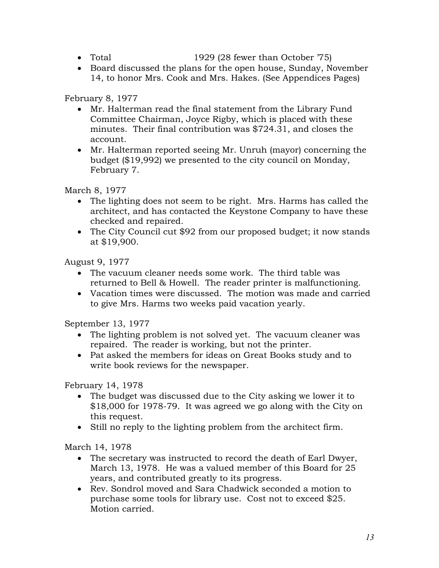- 
- Total 1929 (28 fewer than October  $'75$ )
- Board discussed the plans for the open house, Sunday, November 14, to honor Mrs. Cook and Mrs. Hakes. (See Appendices Pages)

## February 8, 1977

- Mr. Halterman read the final statement from the Library Fund Committee Chairman, Joyce Rigby, which is placed with these minutes. Their final contribution was \$724.31, and closes the account.
- Mr. Halterman reported seeing Mr. Unruh (mayor) concerning the budget (\$19,992) we presented to the city council on Monday, February 7.

March 8, 1977

- The lighting does not seem to be right. Mrs. Harms has called the architect, and has contacted the Keystone Company to have these checked and repaired.
- The City Council cut \$92 from our proposed budget; it now stands at \$19,900.

August 9, 1977

- The vacuum cleaner needs some work. The third table was returned to Bell & Howell. The reader printer is malfunctioning.
- Vacation times were discussed. The motion was made and carried to give Mrs. Harms two weeks paid vacation yearly.

September 13, 1977

- The lighting problem is not solved yet. The vacuum cleaner was repaired. The reader is working, but not the printer.
- Pat asked the members for ideas on Great Books study and to write book reviews for the newspaper.

February 14, 1978

- The budget was discussed due to the City asking we lower it to \$18,000 for 1978-79. It was agreed we go along with the City on this request.
- Still no reply to the lighting problem from the architect firm.

March 14, 1978

- The secretary was instructed to record the death of Earl Dwyer, March 13, 1978. He was a valued member of this Board for 25 years, and contributed greatly to its progress.
- Rev. Sondrol moved and Sara Chadwick seconded a motion to purchase some tools for library use. Cost not to exceed \$25. Motion carried.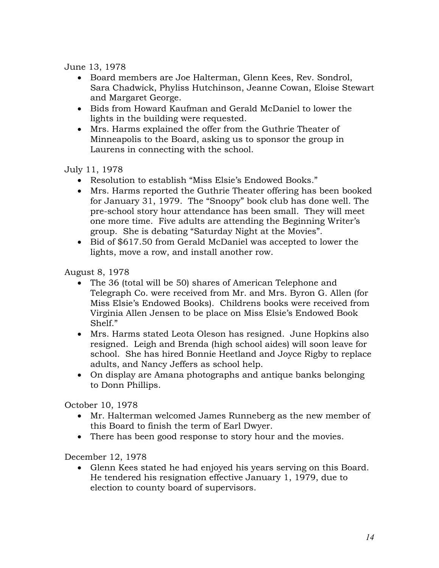June 13, 1978

- Board members are Joe Halterman, Glenn Kees, Rev. Sondrol, Sara Chadwick, Phyliss Hutchinson, Jeanne Cowan, Eloise Stewart and Margaret George.
- Bids from Howard Kaufman and Gerald McDaniel to lower the lights in the building were requested.
- Mrs. Harms explained the offer from the Guthrie Theater of Minneapolis to the Board, asking us to sponsor the group in Laurens in connecting with the school.

July 11, 1978

- Resolution to establish "Miss Elsie's Endowed Books."
- Mrs. Harms reported the Guthrie Theater offering has been booked for January 31, 1979. The "Snoopy" book club has done well. The pre-school story hour attendance has been small. They will meet one more time. Five adults are attending the Beginning Writer's group. She is debating "Saturday Night at the Movies".
- Bid of \$617.50 from Gerald McDaniel was accepted to lower the lights, move a row, and install another row.

August 8, 1978

- The 36 (total will be 50) shares of American Telephone and Telegraph Co. were received from Mr. and Mrs. Byron G. Allen (for Miss Elsie's Endowed Books). Childrens books were received from Virginia Allen Jensen to be place on Miss Elsie's Endowed Book Shelf."
- Mrs. Harms stated Leota Oleson has resigned. June Hopkins also resigned. Leigh and Brenda (high school aides) will soon leave for school. She has hired Bonnie Heetland and Joyce Rigby to replace adults, and Nancy Jeffers as school help.
- On display are Amana photographs and antique banks belonging to Donn Phillips.

October 10, 1978

- Mr. Halterman welcomed James Runneberg as the new member of this Board to finish the term of Earl Dwyer.
- There has been good response to story hour and the movies.

December 12, 1978

 Glenn Kees stated he had enjoyed his years serving on this Board. He tendered his resignation effective January 1, 1979, due to election to county board of supervisors.